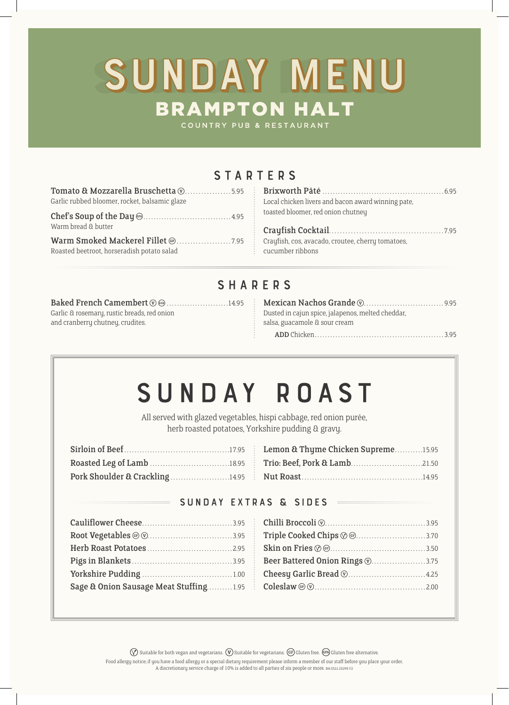# SUNDAY MENU

COUNTRY PUB & RESTAURANT

## **STARTERS**

| Tomato & Mozzarella Bruschetta $\textcircled{v}$ 5.95 |  |
|-------------------------------------------------------|--|
| Garlic rubbed bloomer, rocket, balsamic glaze         |  |
| Warm bread & butter                                   |  |
|                                                       |  |
| Roasted beetroot, horseradish potato salad            |  |

| Local chicken livers and bacon award winning pate, |  |
|----------------------------------------------------|--|
| toasted bloomer, red onion chutney                 |  |

Crayfish Cocktail. 7.95 Crayfish, cos, avacado, croutee, cherry tomatoes, cucumber ribbons

### sHARers

Baked French Camembert (v) (iii) 14.95 Garlic & rosemary, rustic breads, red onion and cranberry chutney, crudites.

| Dusted in cajun spice, jalapenos, melted cheddar, |  |
|---------------------------------------------------|--|
| salsa, guacamole & sour cream                     |  |
|                                                   |  |

# Sunday Roast

All served with glazed vegetables, hispi cabbage, red onion purée, herb roasted potatoes, Yorkshire pudding & gravy.

| Pork Shoulder & Crackling14.95 |  |
|--------------------------------|--|

| Lemon & Thyme Chicken Supreme15.95 |  |
|------------------------------------|--|
|                                    |  |
|                                    |  |

#### Sunday Extras & Sides